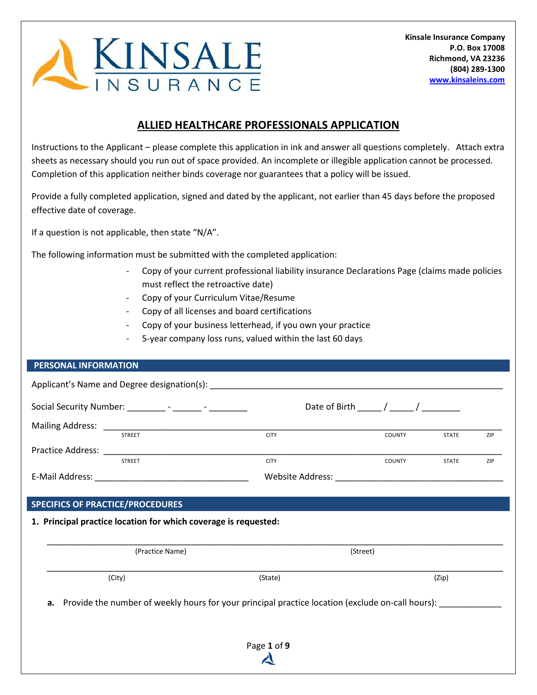

# **ALLIED HEALTHCARE PROFESSIONALS APPLICATION**

Instructions to the Applicant – please complete this application in ink and answer all questions completely. Attach extra sheets as necessary should you run out of space provided. An incomplete or illegible application cannot be processed. Completion of this application neither binds coverage nor guarantees that a policy will be issued.

Provide a fully completed application, signed and dated by the applicant, not earlier than 45 days before the proposed effective date of coverage.

If a question is not applicable, then state "N/A".

The following information must be submitted with the completed application:

- Copy of your current professional liability insurance Declarations Page (claims made policies must reflect the retroactive date)
- Copy of your Curriculum Vitae/Resume
- Copy of all licenses and board certifications
- Copy of your business letterhead, if you own your practice
- 5-year company loss runs, valued within the last 60 days

#### **PERSONAL INFORMATION**

|                          | Applicant's Name and Degree designation(s): |                         |               |              |            |
|--------------------------|---------------------------------------------|-------------------------|---------------|--------------|------------|
|                          |                                             |                         |               |              |            |
| <b>Mailing Address:</b>  |                                             |                         |               |              |            |
|                          | <b>STREET</b>                               | <b>CITY</b>             | <b>COUNTY</b> | <b>STATE</b> | ZIP        |
| <b>Practice Address:</b> |                                             |                         |               |              |            |
|                          | <b>STREET</b>                               | <b>CITY</b>             | <b>COUNTY</b> | <b>STATE</b> | <b>ZIP</b> |
| E-Mail Address:          |                                             | <b>Website Address:</b> |               |              |            |

### **SPECIFICS OF PRACTICE/PROCEDURES**

#### **1. Principal practice location for which coverage is requested:**

| (Practice Name) |         | (Street) |
|-----------------|---------|----------|
| (City)          | (State) | (Zip)    |

Provide the number of weekly hours for your principal practice location (exclude on-call hours): \_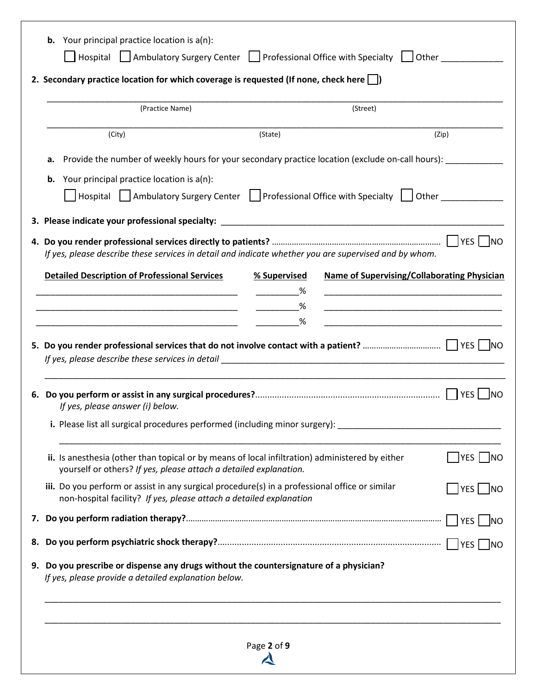|    | (Practice Name)                                                                                                                                                       |              | (Street) |  |                                                                                                                      |
|----|-----------------------------------------------------------------------------------------------------------------------------------------------------------------------|--------------|----------|--|----------------------------------------------------------------------------------------------------------------------|
|    | (City)                                                                                                                                                                | (State)      |          |  | (Zip)                                                                                                                |
| а. | Provide the number of weekly hours for your secondary practice location (exclude on-call hours):                                                                      |              |          |  |                                                                                                                      |
|    | <b>b.</b> Your principal practice location is $a(n)$ :                                                                                                                |              |          |  |                                                                                                                      |
|    | │ Hospital │ Ambulatory Surgery Center │ Professional Office with Specialty │ Other │ │ Other                                                                         |              |          |  |                                                                                                                      |
|    |                                                                                                                                                                       |              |          |  |                                                                                                                      |
|    | If yes, please describe these services in detail and indicate whether you are supervised and by whom.                                                                 |              |          |  |                                                                                                                      |
|    | <b>Detailed Description of Professional Services</b>                                                                                                                  | % Supervised |          |  | <b>Name of Supervising/Collaborating Physician</b>                                                                   |
|    | <u> 1989 - Johann John Harry Harry Harry Harry Harry Harry Harry Harry Harry Harry Harry Harry Harry Harry Harry</u>                                                  |              |          |  | <u> 1989 - Johann John Harry, mars eta bat eta bat eta bat eta bat ez arteko harta zen bat ez arteko harta zen b</u> |
|    |                                                                                                                                                                       |              |          |  |                                                                                                                      |
|    |                                                                                                                                                                       |              |          |  | <u> 1989 - Johann John Stone, mars eta biztanleria (h. 1989).</u>                                                    |
|    |                                                                                                                                                                       |              |          |  |                                                                                                                      |
|    | If yes, please answer (i) below.                                                                                                                                      |              |          |  |                                                                                                                      |
|    | i. Please list all surgical procedures performed (including minor surgery):                                                                                           |              |          |  |                                                                                                                      |
|    | ii. Is anesthesia (other than topical or by means of local infiltration) administered by either<br>yourself or others? If yes, please attach a detailed explanation.  |              |          |  | $ YES $ NO                                                                                                           |
|    | iii. Do you perform or assist in any surgical procedure(s) in a professional office or similar<br>non-hospital facility? If yes, please attach a detailed explanation |              |          |  | YES  NO                                                                                                              |
|    |                                                                                                                                                                       |              |          |  |                                                                                                                      |
|    |                                                                                                                                                                       |              |          |  |                                                                                                                      |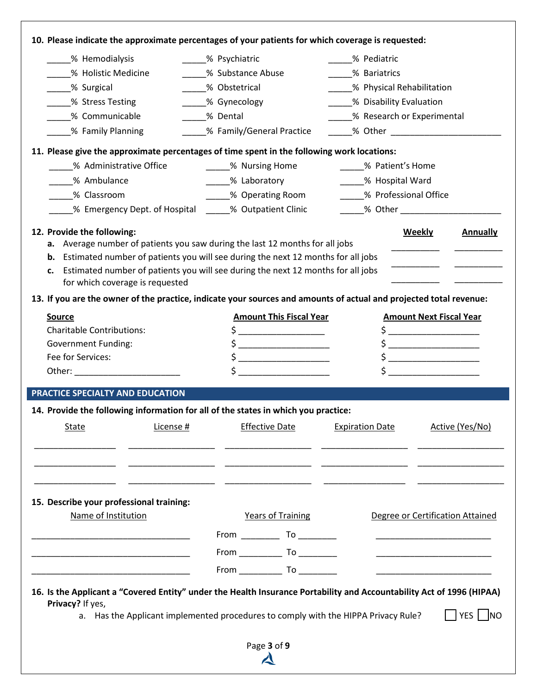| 15. Describe your professional training:<br>Name of Institution<br><u> 1990 - Johann John Stone, markin amerikan bisa di sebagai pertama dan personal dan personal dan personal dan</u><br><u> 1980 - Johann John Stone, mars et al. (b. 1980)</u>                                                                                                                                                                                                          |                           | <b>Years of Training</b>                                                                                                                                                                                                                                                                                                                                                                                                                                                                                                                               |                        | Degree or Certification Attained<br><u> Alexandria de la contrada de la contrada de la contrada de la contrada de la contrada de la contrada de la c</u><br><u> 1989 - Johann John Harry Harry Harry Harry Harry Harry Harry Harry Harry Harry Harry Harry Harry Harry Harry H</u>                                                                  |                 |
|-------------------------------------------------------------------------------------------------------------------------------------------------------------------------------------------------------------------------------------------------------------------------------------------------------------------------------------------------------------------------------------------------------------------------------------------------------------|---------------------------|--------------------------------------------------------------------------------------------------------------------------------------------------------------------------------------------------------------------------------------------------------------------------------------------------------------------------------------------------------------------------------------------------------------------------------------------------------------------------------------------------------------------------------------------------------|------------------------|-----------------------------------------------------------------------------------------------------------------------------------------------------------------------------------------------------------------------------------------------------------------------------------------------------------------------------------------------------|-----------------|
|                                                                                                                                                                                                                                                                                                                                                                                                                                                             |                           |                                                                                                                                                                                                                                                                                                                                                                                                                                                                                                                                                        |                        |                                                                                                                                                                                                                                                                                                                                                     |                 |
|                                                                                                                                                                                                                                                                                                                                                                                                                                                             |                           |                                                                                                                                                                                                                                                                                                                                                                                                                                                                                                                                                        |                        |                                                                                                                                                                                                                                                                                                                                                     |                 |
|                                                                                                                                                                                                                                                                                                                                                                                                                                                             |                           |                                                                                                                                                                                                                                                                                                                                                                                                                                                                                                                                                        |                        |                                                                                                                                                                                                                                                                                                                                                     |                 |
|                                                                                                                                                                                                                                                                                                                                                                                                                                                             |                           |                                                                                                                                                                                                                                                                                                                                                                                                                                                                                                                                                        |                        |                                                                                                                                                                                                                                                                                                                                                     |                 |
| License #<br>State                                                                                                                                                                                                                                                                                                                                                                                                                                          |                           | <b>Effective Date</b>                                                                                                                                                                                                                                                                                                                                                                                                                                                                                                                                  | <b>Expiration Date</b> |                                                                                                                                                                                                                                                                                                                                                     | Active (Yes/No) |
| PRACTICE SPECIALTY AND EDUCATION<br>14. Provide the following information for all of the states in which you practice:                                                                                                                                                                                                                                                                                                                                      |                           |                                                                                                                                                                                                                                                                                                                                                                                                                                                                                                                                                        |                        |                                                                                                                                                                                                                                                                                                                                                     |                 |
| Other: ___________________________                                                                                                                                                                                                                                                                                                                                                                                                                          |                           | $\sharp$ $\Box$                                                                                                                                                                                                                                                                                                                                                                                                                                                                                                                                        |                        | $\begin{picture}(20,10) \put(0,0){\line(1,0){10}} \put(15,0){\line(1,0){10}} \put(15,0){\line(1,0){10}} \put(15,0){\line(1,0){10}} \put(15,0){\line(1,0){10}} \put(15,0){\line(1,0){10}} \put(15,0){\line(1,0){10}} \put(15,0){\line(1,0){10}} \put(15,0){\line(1,0){10}} \put(15,0){\line(1,0){10}} \put(15,0){\line(1,0){10}} \put(15,0){\line(1$ |                 |
| Fee for Services:                                                                                                                                                                                                                                                                                                                                                                                                                                           |                           | $\mathsf{s}$ _____________________                                                                                                                                                                                                                                                                                                                                                                                                                                                                                                                     |                        | $\mathsf{S} \xrightarrow{\qquad \qquad }$                                                                                                                                                                                                                                                                                                           |                 |
| <b>Government Funding:</b>                                                                                                                                                                                                                                                                                                                                                                                                                                  |                           | $\begin{picture}(20,10) \put(0,0){\line(1,0){10}} \put(15,0){\line(1,0){10}} \put(15,0){\line(1,0){10}} \put(15,0){\line(1,0){10}} \put(15,0){\line(1,0){10}} \put(15,0){\line(1,0){10}} \put(15,0){\line(1,0){10}} \put(15,0){\line(1,0){10}} \put(15,0){\line(1,0){10}} \put(15,0){\line(1,0){10}} \put(15,0){\line(1,0){10}} \put(15,0){\line(1$                                                                                                                                                                                                    |                        | $\begin{picture}(20,10) \put(0,0){\line(1,0){10}} \put(15,0){\line(1,0){10}} \put(15,0){\line(1,0){10}} \put(15,0){\line(1,0){10}} \put(15,0){\line(1,0){10}} \put(15,0){\line(1,0){10}} \put(15,0){\line(1,0){10}} \put(15,0){\line(1,0){10}} \put(15,0){\line(1,0){10}} \put(15,0){\line(1,0){10}} \put(15,0){\line(1,0){10}} \put(15,0){\line(1$ |                 |
| <b>Charitable Contributions:</b>                                                                                                                                                                                                                                                                                                                                                                                                                            |                           | $\begin{array}{c} \n \uparrow \text{---} \quad \text{---} \quad \text{---} \quad \text{---} \quad \text{---} \quad \text{---} \quad \text{---} \quad \text{---} \quad \text{---} \quad \text{---} \quad \text{---} \quad \text{---} \quad \text{---} \quad \text{---} \quad \text{---} \quad \text{---} \quad \text{---} \quad \text{---} \quad \text{---} \quad \text{---} \quad \text{---} \quad \text{---} \quad \text{---} \quad \text{---} \quad \text{---} \quad \text{---} \quad \text{---} \quad \text{---} \quad \text{---} \quad \text{---}$ |                        | $\frac{1}{2}$                                                                                                                                                                                                                                                                                                                                       |                 |
| <b>Source</b>                                                                                                                                                                                                                                                                                                                                                                                                                                               |                           | <b>Amount This Fiscal Year</b>                                                                                                                                                                                                                                                                                                                                                                                                                                                                                                                         |                        | <b>Amount Next Fiscal Year</b>                                                                                                                                                                                                                                                                                                                      |                 |
| 12. Provide the following:<br>a. Average number of patients you saw during the last 12 months for all jobs<br><b>b.</b> Estimated number of patients you will see during the next 12 months for all jobs<br>Estimated number of patients you will see during the next 12 months for all jobs<br>c.<br>for which coverage is requested<br>13. If you are the owner of the practice, indicate your sources and amounts of actual and projected total revenue: |                           |                                                                                                                                                                                                                                                                                                                                                                                                                                                                                                                                                        |                        | <b>Weekly</b>                                                                                                                                                                                                                                                                                                                                       | <b>Annually</b> |
| % Emergency Dept. of Hospital ______% Outpatient Clinic                                                                                                                                                                                                                                                                                                                                                                                                     |                           |                                                                                                                                                                                                                                                                                                                                                                                                                                                                                                                                                        |                        |                                                                                                                                                                                                                                                                                                                                                     |                 |
| % Classroom                                                                                                                                                                                                                                                                                                                                                                                                                                                 |                           | ___% Operating Room                                                                                                                                                                                                                                                                                                                                                                                                                                                                                                                                    |                        | % Professional Office                                                                                                                                                                                                                                                                                                                               |                 |
| % Ambulance                                                                                                                                                                                                                                                                                                                                                                                                                                                 | _____% Laboratory         |                                                                                                                                                                                                                                                                                                                                                                                                                                                                                                                                                        |                        | _____% Hospital Ward                                                                                                                                                                                                                                                                                                                                |                 |
| % Administrative Office                                                                                                                                                                                                                                                                                                                                                                                                                                     | % Nursing Home            |                                                                                                                                                                                                                                                                                                                                                                                                                                                                                                                                                        |                        | % Patient's Home                                                                                                                                                                                                                                                                                                                                    |                 |
| 11. Please give the approximate percentages of time spent in the following work locations:                                                                                                                                                                                                                                                                                                                                                                  |                           |                                                                                                                                                                                                                                                                                                                                                                                                                                                                                                                                                        |                        |                                                                                                                                                                                                                                                                                                                                                     |                 |
| % Family Planning                                                                                                                                                                                                                                                                                                                                                                                                                                           | % Family/General Practice |                                                                                                                                                                                                                                                                                                                                                                                                                                                                                                                                                        |                        | ______% Other _________________________                                                                                                                                                                                                                                                                                                             |                 |
| % Communicable                                                                                                                                                                                                                                                                                                                                                                                                                                              | % Dental                  |                                                                                                                                                                                                                                                                                                                                                                                                                                                                                                                                                        |                        | _____% Research or Experimental                                                                                                                                                                                                                                                                                                                     |                 |
| _% Stress Testing                                                                                                                                                                                                                                                                                                                                                                                                                                           | _____% Gynecology         |                                                                                                                                                                                                                                                                                                                                                                                                                                                                                                                                                        |                        | % Physical Rehabilitation<br>_____% Disability Evaluation                                                                                                                                                                                                                                                                                           |                 |
|                                                                                                                                                                                                                                                                                                                                                                                                                                                             | % Obstetrical             |                                                                                                                                                                                                                                                                                                                                                                                                                                                                                                                                                        |                        |                                                                                                                                                                                                                                                                                                                                                     |                 |
| % Holistic Medicine<br>% Surgical                                                                                                                                                                                                                                                                                                                                                                                                                           | % Substance Abuse         |                                                                                                                                                                                                                                                                                                                                                                                                                                                                                                                                                        | % Bariatrics           | % Pediatric                                                                                                                                                                                                                                                                                                                                         |                 |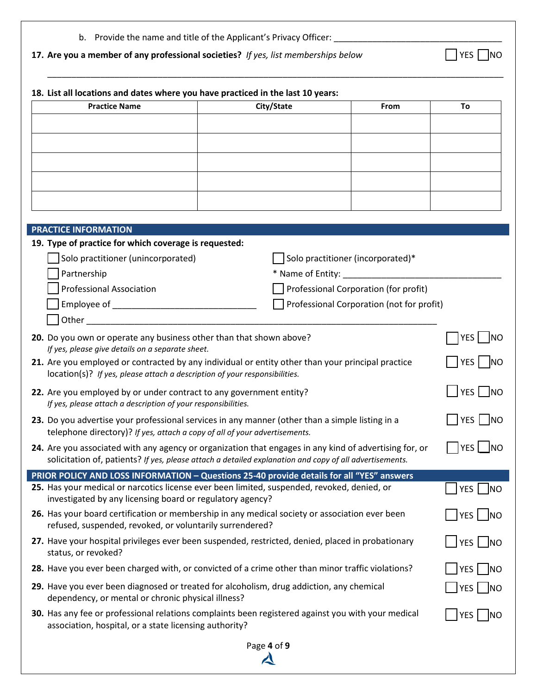|  | b. Provide the name and title of the Applicant's Privacy Officer: |  |  |  |
|--|-------------------------------------------------------------------|--|--|--|
|--|-------------------------------------------------------------------|--|--|--|

**17.** Are you a member of any professional societies? If yes, list memberships below  $\Box$  YES  $\Box$  NO

| <b>Practice Name</b>                                                                                                                                                                                              | City/State                           | From                                      | To                |
|-------------------------------------------------------------------------------------------------------------------------------------------------------------------------------------------------------------------|--------------------------------------|-------------------------------------------|-------------------|
|                                                                                                                                                                                                                   |                                      |                                           |                   |
|                                                                                                                                                                                                                   |                                      |                                           |                   |
|                                                                                                                                                                                                                   |                                      |                                           |                   |
|                                                                                                                                                                                                                   |                                      |                                           |                   |
|                                                                                                                                                                                                                   |                                      |                                           |                   |
|                                                                                                                                                                                                                   |                                      |                                           |                   |
|                                                                                                                                                                                                                   |                                      |                                           |                   |
| <b>PRACTICE INFORMATION</b>                                                                                                                                                                                       |                                      |                                           |                   |
| 19. Type of practice for which coverage is requested:<br>Solo practitioner (unincorporated)                                                                                                                       |                                      | Solo practitioner (incorporated)*         |                   |
| Partnership                                                                                                                                                                                                       | * Name of Entity: __________________ |                                           |                   |
| <b>Professional Association</b>                                                                                                                                                                                   |                                      | Professional Corporation (for profit)     |                   |
|                                                                                                                                                                                                                   |                                      | Professional Corporation (not for profit) |                   |
| Other and the contract of the contract of the contract of the contract of the contract of the contract of the                                                                                                     |                                      |                                           |                   |
| 20. Do you own or operate any business other than that shown above?                                                                                                                                               |                                      |                                           | YES   NO          |
| If yes, please give details on a separate sheet.<br>21. Are you employed or contracted by any individual or entity other than your principal practice                                                             |                                      |                                           | YES   NO          |
| location(s)? If yes, please attach a description of your responsibilities.                                                                                                                                        |                                      |                                           |                   |
| 22. Are you employed by or under contract to any government entity?<br>If yes, please attach a description of your responsibilities.                                                                              |                                      |                                           | $ YES $ NO        |
| 23. Do you advertise your professional services in any manner (other than a simple listing in a<br>telephone directory)? If yes, attach a copy of all of your advertisements.                                     |                                      |                                           | YES   NO          |
| 24. Are you associated with any agency or organization that engages in any kind of advertising for, or<br>solicitation of, patients? If yes, please attach a detailed explanation and copy of all advertisements. |                                      |                                           | YES<br><b>INO</b> |
| PRIOR POLICY AND LOSS INFORMATION - Questions 25-40 provide details for all "YES" answers                                                                                                                         |                                      |                                           |                   |
| 25. Has your medical or narcotics license ever been limited, suspended, revoked, denied, or<br>investigated by any licensing board or regulatory agency?                                                          |                                      |                                           | YES   NO          |
| 26. Has your board certification or membership in any medical society or association ever been<br>refused, suspended, revoked, or voluntarily surrendered?                                                        |                                      |                                           | YES  NO           |
| 27. Have your hospital privileges ever been suspended, restricted, denied, placed in probationary<br>status, or revoked?                                                                                          |                                      |                                           | YES MO            |
| 28. Have you ever been charged with, or convicted of a crime other than minor traffic violations?                                                                                                                 |                                      |                                           | $ YES $ NO        |
| 29. Have you ever been diagnosed or treated for alcoholism, drug addiction, any chemical<br>dependency, or mental or chronic physical illness?                                                                    |                                      |                                           | YES   NO          |
| 30. Has any fee or professional relations complaints been registered against you with your medical<br>association, hospital, or a state licensing authority?                                                      |                                      |                                           | YES <br>  NO      |
|                                                                                                                                                                                                                   | Page 4 of 9                          |                                           |                   |
|                                                                                                                                                                                                                   |                                      |                                           |                   |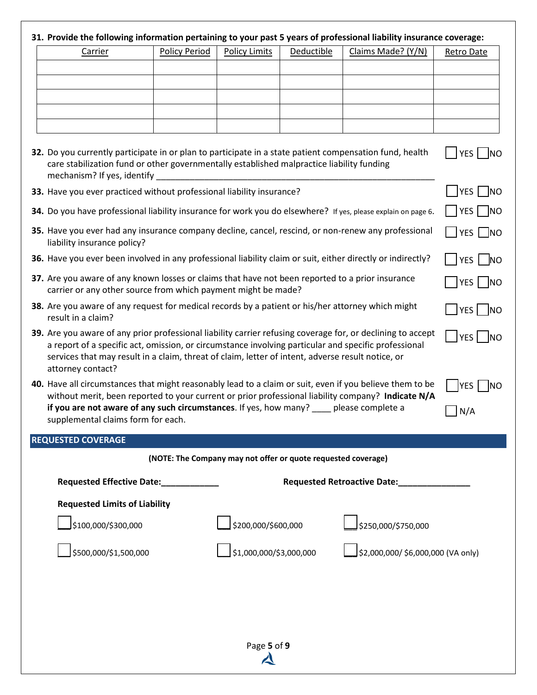### **31. Provide the following information pertaining to your past 5 years of professional liability insurance coverage:**

| Carrier | <b>Policy Period</b> | <b>Policy Limits</b> | <b>Deductible</b> | Claims Made? (Y/N) | Retro Date |
|---------|----------------------|----------------------|-------------------|--------------------|------------|
|         |                      |                      |                   |                    |            |
|         |                      |                      |                   |                    |            |
|         |                      |                      |                   |                    |            |
|         |                      |                      |                   |                    |            |
|         |                      |                      |                   |                    |            |

| 32. Do you currently participate in or plan to participate in a state patient compensation fund, health | $\bigcap$ YES $\bigcap$ NO |
|---------------------------------------------------------------------------------------------------------|----------------------------|
| care stabilization fund or other governmentally established malpractice liability funding               |                            |
| mechanism? If yes, identify                                                                             |                            |

**3** YES NO

 $YES$  NO

 $|YES|$  NO

|YES | |NO

| 33. Have you ever practiced without professional liability insurance? |  |
|-----------------------------------------------------------------------|--|
|                                                                       |  |

- **34.** Do you have professional liability insurance for work you do elsewhere? If yes, please explain on page 6.  $\Box$  YES  $\Box$  NO
- **35.** Have you ever had any insurance company decline, cancel, rescind, or non-renew any professional liability insurance policy?  $\Box$  YES  $\Box$  NO
- **36.** Have you ever been involved in any professional liability claim or suit, either directly or indirectly? YES NO
- **37.** Are you aware of any known losses or claims that have not been reported to a prior insurance carrier or any other source from which payment might be made?
- **38.** Are you aware of any request for medical records by a patient or his/her attorney which might result in a claim?
- **39.** Are you aware of any prior professional liability carrier refusing coverage for, or declining to accept a report of a specific act, omission, or circumstance involving particular and specific professional services that may result in a claim, threat of claim, letter of intent, adverse result notice, or attorney contact?  $|$  YES  $|$  NO
- **40.** Have all circumstances that might reasonably lead to a claim or suit, even if you believe them to be without merit, been reported to your current or prior professional liability company? **Indicate N/A if you are not aware of any such circumstances**. If yes, how many? \_\_\_\_ please complete a supplemental claims form for each. N/A

#### **REQUESTED COVERAGE**

| (NOTE: The Company may not offer or quote requested coverage) |                         |                                      |  |  |  |
|---------------------------------------------------------------|-------------------------|--------------------------------------|--|--|--|
| <b>Requested Effective Date:</b>                              |                         | <b>Requested Retroactive Date:</b>   |  |  |  |
| <b>Requested Limits of Liability</b>                          |                         |                                      |  |  |  |
| \$100,000/\$300,000                                           | \$200,000/\$600,000     | \$250,000/\$750,000                  |  |  |  |
| \$500,000/\$1,500,000                                         | \$1,000,000/\$3,000,000 | └ \$2,000,000/ \$6,000,000 (VA only) |  |  |  |
|                                                               |                         |                                      |  |  |  |
|                                                               |                         |                                      |  |  |  |
|                                                               |                         |                                      |  |  |  |
|                                                               | Page 5 of 9             |                                      |  |  |  |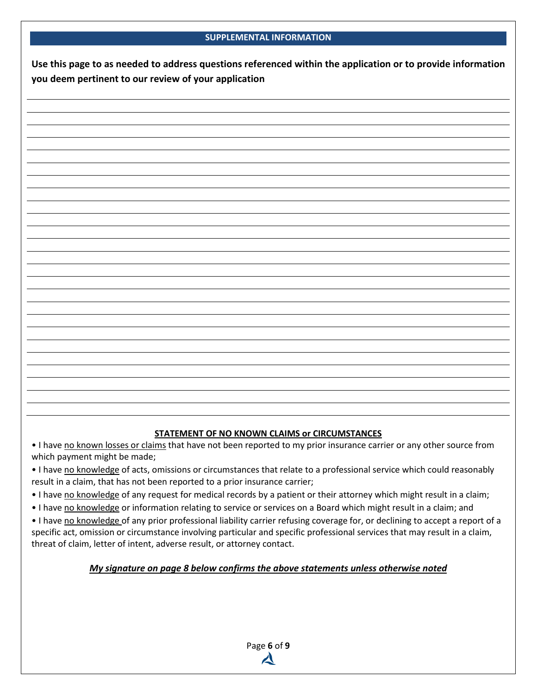### **SUPPLEMENTAL INFORMATION**

**Use this page to as needed to address questions referenced within the application or to provide information you deem pertinent to our review of your application**

### **STATEMENT OF NO KNOWN CLAIMS or CIRCUMSTANCES**

. I have no known losses or claims that have not been reported to my prior insurance carrier or any other source from which payment might be made;

. I have no knowledge of acts, omissions or circumstances that relate to a professional service which could reasonably result in a claim, that has not been reported to a prior insurance carrier;

. I have no knowledge of any request for medical records by a patient or their attorney which might result in a claim;

. I have no knowledge or information relating to service or services on a Board which might result in a claim; and

. I have no knowledge of any prior professional liability carrier refusing coverage for, or declining to accept a report of a specific act, omission or circumstance involving particular and specific professional services that may result in a claim, threat of claim, letter of intent, adverse result, or attorney contact.

### *My signature on page 8 below confirms the above statements unless otherwise noted*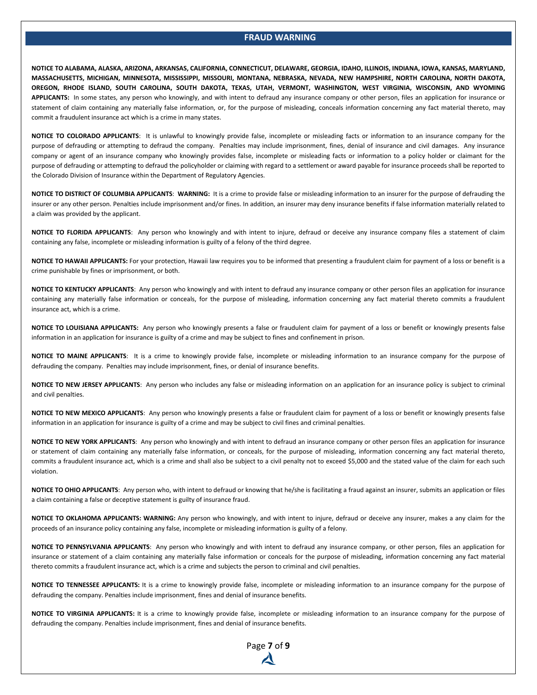#### **FRAUD WARNING**

**NOTICE TO ALABAMA, ALASKA, ARIZONA, ARKANSAS, CALIFORNIA, CONNECTICUT, DELAWARE, GEORGIA, IDAHO, ILLINOIS, INDIANA, IOWA, KANSAS, MARYLAND, MASSACHUSETTS, MICHIGAN, MINNESOTA, MISSISSIPPI, MISSOURI, MONTANA, NEBRASKA, NEVADA, NEW HAMPSHIRE, NORTH CAROLINA, NORTH DAKOTA, OREGON, RHODE ISLAND, SOUTH CAROLINA, SOUTH DAKOTA, TEXAS, UTAH, VERMONT, WASHINGTON, WEST VIRGINIA, WISCONSIN, AND WYOMING APPLICANTS:** In some states, any person who knowingly, and with intent to defraud any insurance company or other person, files an application for insurance or statement of claim containing any materially false information, or, for the purpose of misleading, conceals information concerning any fact material thereto, may commit a fraudulent insurance act which is a crime in many states.

**NOTICE TO COLORADO APPLICANTS**: It is unlawful to knowingly provide false, incomplete or misleading facts or information to an insurance company for the purpose of defrauding or attempting to defraud the company. Penalties may include imprisonment, fines, denial of insurance and civil damages. Any insurance company or agent of an insurance company who knowingly provides false, incomplete or misleading facts or information to a policy holder or claimant for the purpose of defrauding or attempting to defraud the policyholder or claiming with regard to a settlement or award payable for insurance proceeds shall be reported to the Colorado Division of Insurance within the Department of Regulatory Agencies.

**NOTICE TO DISTRICT OF COLUMBIA APPLICANTS**: **WARNING:** It is a crime to provide false or misleading information to an insurer for the purpose of defrauding the insurer or any other person. Penalties include imprisonment and/or fines. In addition, an insurer may deny insurance benefits if false information materially related to a claim was provided by the applicant.

**NOTICE TO FLORIDA APPLICANTS**: Any person who knowingly and with intent to injure, defraud or deceive any insurance company files a statement of claim containing any false, incomplete or misleading information is guilty of a felony of the third degree.

**NOTICE TO HAWAII APPLICANTS:** For your protection, Hawaii law requires you to be informed that presenting a fraudulent claim for payment of a loss or benefit is a crime punishable by fines or imprisonment, or both.

**NOTICE TO KENTUCKY APPLICANTS**: Any person who knowingly and with intent to defraud any insurance company or other person files an application for insurance containing any materially false information or conceals, for the purpose of misleading, information concerning any fact material thereto commits a fraudulent insurance act, which is a crime.

**NOTICE TO LOUISIANA APPLICANTS:** Any person who knowingly presents a false or fraudulent claim for payment of a loss or benefit or knowingly presents false information in an application for insurance is guilty of a crime and may be subject to fines and confinement in prison.

**NOTICE TO MAINE APPLICANTS**: It is a crime to knowingly provide false, incomplete or misleading information to an insurance company for the purpose of defrauding the company. Penalties may include imprisonment, fines, or denial of insurance benefits.

**NOTICE TO NEW JERSEY APPLICANTS**: Any person who includes any false or misleading information on an application for an insurance policy is subject to criminal and civil penalties.

**NOTICE TO NEW MEXICO APPLICANTS**: Any person who knowingly presents a false or fraudulent claim for payment of a loss or benefit or knowingly presents false information in an application for insurance is guilty of a crime and may be subject to civil fines and criminal penalties.

**NOTICE TO NEW YORK APPLICANTS**: Any person who knowingly and with intent to defraud an insurance company or other person files an application for insurance or statement of claim containing any materially false information, or conceals, for the purpose of misleading, information concerning any fact material thereto, commits a fraudulent insurance act, which is a crime and shall also be subject to a civil penalty not to exceed \$5,000 and the stated value of the claim for each such violation.

**NOTICE TO OHIO APPLICANTS**: Any person who, with intent to defraud or knowing that he/she is facilitating a fraud against an insurer, submits an application or files a claim containing a false or deceptive statement is guilty of insurance fraud.

**NOTICE TO OKLAHOMA APPLICANTS: WARNING:** Any person who knowingly, and with intent to injure, defraud or deceive any insurer, makes a any claim for the proceeds of an insurance policy containing any false, incomplete or misleading information is guilty of a felony.

**NOTICE TO PENNSYLVANIA APPLICANTS**: Any person who knowingly and with intent to defraud any insurance company, or other person, files an application for insurance or statement of a claim containing any materially false information or conceals for the purpose of misleading, information concerning any fact material thereto commits a fraudulent insurance act, which is a crime and subjects the person to criminal and civil penalties.

**NOTICE TO TENNESSEE APPLICANTS:** It is a crime to knowingly provide false, incomplete or misleading information to an insurance company for the purpose of defrauding the company. Penalties include imprisonment, fines and denial of insurance benefits.

**NOTICE TO VIRGINIA APPLICANTS:** It is a crime to knowingly provide false, incomplete or misleading information to an insurance company for the purpose of defrauding the company. Penalties include imprisonment, fines and denial of insurance benefits.

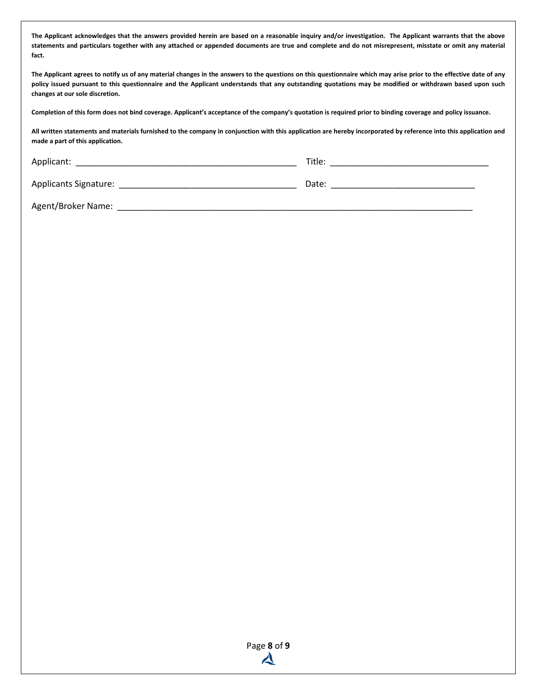**The Applicant acknowledges that the answers provided herein are based on a reasonable inquiry and/or investigation. The Applicant warrants that the above statements and particulars together with any attached or appended documents are true and complete and do not misrepresent, misstate or omit any material fact.** 

**The Applicant agrees to notify us of any material changes in the answers to the questions on this questionnaire which may arise prior to the effective date of any policy issued pursuant to this questionnaire and the Applicant understands that any outstanding quotations may be modified or withdrawn based upon such changes at our sole discretion.** 

**Completion of this form does not bind coverage. Applicant's acceptance of the company's quotation is required prior to binding coverage and policy issuance.** 

**All written statements and materials furnished to the company in conjunction with this application are hereby incorporated by reference into this application and made a part of this application.**

| Applicant:            | Title: |  |
|-----------------------|--------|--|
| Applicants Signature: | Date:  |  |

Agent/Broker Name: \_\_\_\_\_\_\_\_\_\_\_\_\_\_\_\_\_\_\_\_\_\_\_\_\_\_\_\_\_\_\_\_\_\_\_\_\_\_\_\_\_\_\_\_\_\_\_\_\_\_\_\_\_\_\_\_\_\_\_\_\_\_\_\_\_\_\_\_\_\_\_\_\_\_